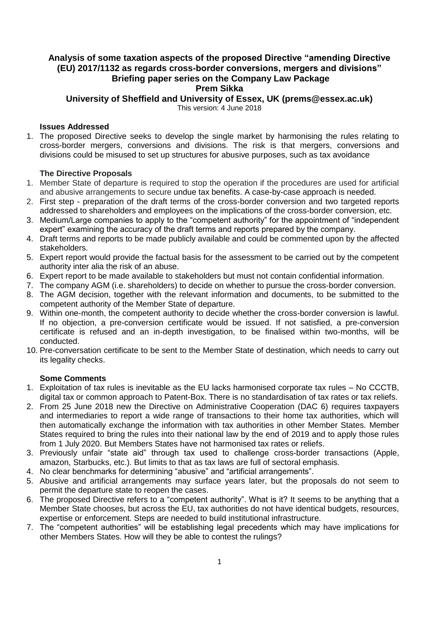# **Analysis of some taxation aspects of the proposed Directive "amending Directive (EU) 2017/1132 as regards cross-border conversions, mergers and divisions" Briefing paper series on the Company Law Package Prem Sikka**

**University of Sheffield and University of Essex, UK (prems@essex.ac.uk)**

This version: 4 June 2018

### **Issues Addressed**

1. The proposed Directive seeks to develop the single market by harmonising the rules relating to cross-border mergers, conversions and divisions. The risk is that mergers, conversions and divisions could be misused to set up structures for abusive purposes, such as tax avoidance

## **The Directive Proposals**

- 1. Member State of departure is required to stop the operation if the procedures are used for artificial and abusive arrangements to secure undue tax benefits. A case-by-case approach is needed.
- 2. First step preparation of the draft terms of the cross-border conversion and two targeted reports addressed to shareholders and employees on the implications of the cross-border conversion, etc.
- 3. Medium/Large companies to apply to the "competent authority" for the appointment of "independent expert" examining the accuracy of the draft terms and reports prepared by the company.
- 4. Draft terms and reports to be made publicly available and could be commented upon by the affected stakeholders.
- 5. Expert report would provide the factual basis for the assessment to be carried out by the competent authority inter alia the risk of an abuse.
- 6. Expert report to be made available to stakeholders but must not contain confidential information.
- 7. The company AGM (i.e. shareholders) to decide on whether to pursue the cross-border conversion.
- 8. The AGM decision, together with the relevant information and documents, to be submitted to the competent authority of the Member State of departure.
- 9. Within one-month, the competent authority to decide whether the cross-border conversion is lawful. If no objection, a pre-conversion certificate would be issued. If not satisfied, a pre-conversion certificate is refused and an in-depth investigation, to be finalised within two-months, will be conducted.
- 10. Pre-conversation certificate to be sent to the Member State of destination, which needs to carry out its legality checks.

#### **Some Comments**

- 1. Exploitation of tax rules is inevitable as the EU lacks harmonised corporate tax rules No CCCTB, digital tax or common approach to Patent-Box. There is no standardisation of tax rates or tax reliefs.
- 2. From 25 June 2018 new the Directive on Administrative Cooperation (DAC 6) requires taxpayers and intermediaries to report a wide range of transactions to their home tax authorities, which will then automatically exchange the information with tax authorities in other Member States. Member States required to bring the rules into their national law by the end of 2019 and to apply those rules from 1 July 2020. But Members States have not harmonised tax rates or reliefs.
- 3. Previously unfair "state aid" through tax used to challenge cross-border transactions (Apple, amazon, Starbucks, etc.). But limits to that as tax laws are full of sectoral emphasis.
- 4. No clear benchmarks for determining "abusive" and "artificial arrangements".
- 5. Abusive and artificial arrangements may surface years later, but the proposals do not seem to permit the departure state to reopen the cases.
- 6. The proposed Directive refers to a "competent authority". What is it? It seems to be anything that a Member State chooses, but across the EU, tax authorities do not have identical budgets, resources, expertise or enforcement. Steps are needed to build institutional infrastructure.
- 7. The "competent authorities" will be establishing legal precedents which may have implications for other Members States. How will they be able to contest the rulings?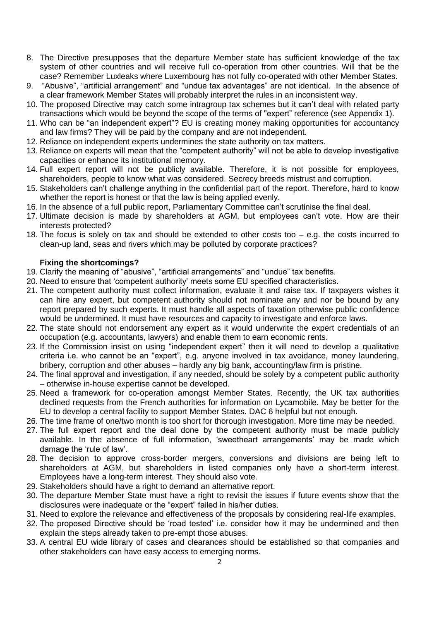- 8. The Directive presupposes that the departure Member state has sufficient knowledge of the tax system of other countries and will receive full co-operation from other countries. Will that be the case? Remember Luxleaks where Luxembourg has not fully co-operated with other Member States.
- 9. "Abusive", "artificial arrangement" and "undue tax advantages" are not identical. In the absence of a clear framework Member States will probably interpret the rules in an inconsistent way.
- 10. The proposed Directive may catch some intragroup tax schemes but it can't deal with related party transactions which would be beyond the scope of the terms of "expert" reference (see Appendix 1).
- 11. Who can be "an independent expert"? EU is creating money making opportunities for accountancy and law firms? They will be paid by the company and are not independent.
- 12. Reliance on independent experts undermines the state authority on tax matters.
- 13. Reliance on experts will mean that the "competent authority" will not be able to develop investigative capacities or enhance its institutional memory.
- 14. Full expert report will not be publicly available. Therefore, it is not possible for employees, shareholders, people to know what was considered. Secrecy breeds mistrust and corruption.
- 15. Stakeholders can't challenge anything in the confidential part of the report. Therefore, hard to know whether the report is honest or that the law is being applied evenly.
- 16. In the absence of a full public report, Parliamentary Committee can't scrutinise the final deal.
- 17. Ultimate decision is made by shareholders at AGM, but employees can't vote. How are their interests protected?
- 18. The focus is solely on tax and should be extended to other costs too e.g. the costs incurred to clean-up land, seas and rivers which may be polluted by corporate practices?

## **Fixing the shortcomings?**

- 19. Clarify the meaning of "abusive", "artificial arrangements" and "undue" tax benefits.
- 20. Need to ensure that 'competent authority' meets some EU specified characteristics.
- 21. The competent authority must collect information, evaluate it and raise tax. If taxpayers wishes it can hire any expert, but competent authority should not nominate any and nor be bound by any report prepared by such experts. It must handle all aspects of taxation otherwise public confidence would be undermined. It must have resources and capacity to investigate and enforce laws.
- 22. The state should not endorsement any expert as it would underwrite the expert credentials of an occupation (e.g. accountants, lawyers) and enable them to earn economic rents.
- 23. If the Commission insist on using "independent expert" then it will need to develop a qualitative criteria i.e. who cannot be an "expert", e.g. anyone involved in tax avoidance, money laundering, bribery, corruption and other abuses – hardly any big bank, accounting/law firm is pristine.
- 24. The final approval and investigation, if any needed, should be solely by a competent public authority – otherwise in-house expertise cannot be developed.
- 25. Need a framework for co-operation amongst Member States. Recently, the UK tax authorities declined requests from the French authorities for information on Lycamobile. May be better for the EU to develop a central facility to support Member States. DAC 6 helpful but not enough.
- 26. The time frame of one/two month is too short for thorough investigation. More time may be needed.
- 27. The full expert report and the deal done by the competent authority must be made publicly available. In the absence of full information, 'sweetheart arrangements' may be made which damage the 'rule of law'.
- 28. The decision to approve cross-border mergers, conversions and divisions are being left to shareholders at AGM, but shareholders in listed companies only have a short-term interest. Employees have a long-term interest. They should also vote.
- 29. Stakeholders should have a right to demand an alternative report.
- 30. The departure Member State must have a right to revisit the issues if future events show that the disclosures were inadequate or the "expert" failed in his/her duties.
- 31. Need to explore the relevance and effectiveness of the proposals by considering real-life examples.
- 32. The proposed Directive should be 'road tested' i.e. consider how it may be undermined and then explain the steps already taken to pre-empt those abuses.
- 33. A central EU wide library of cases and clearances should be established so that companies and other stakeholders can have easy access to emerging norms.